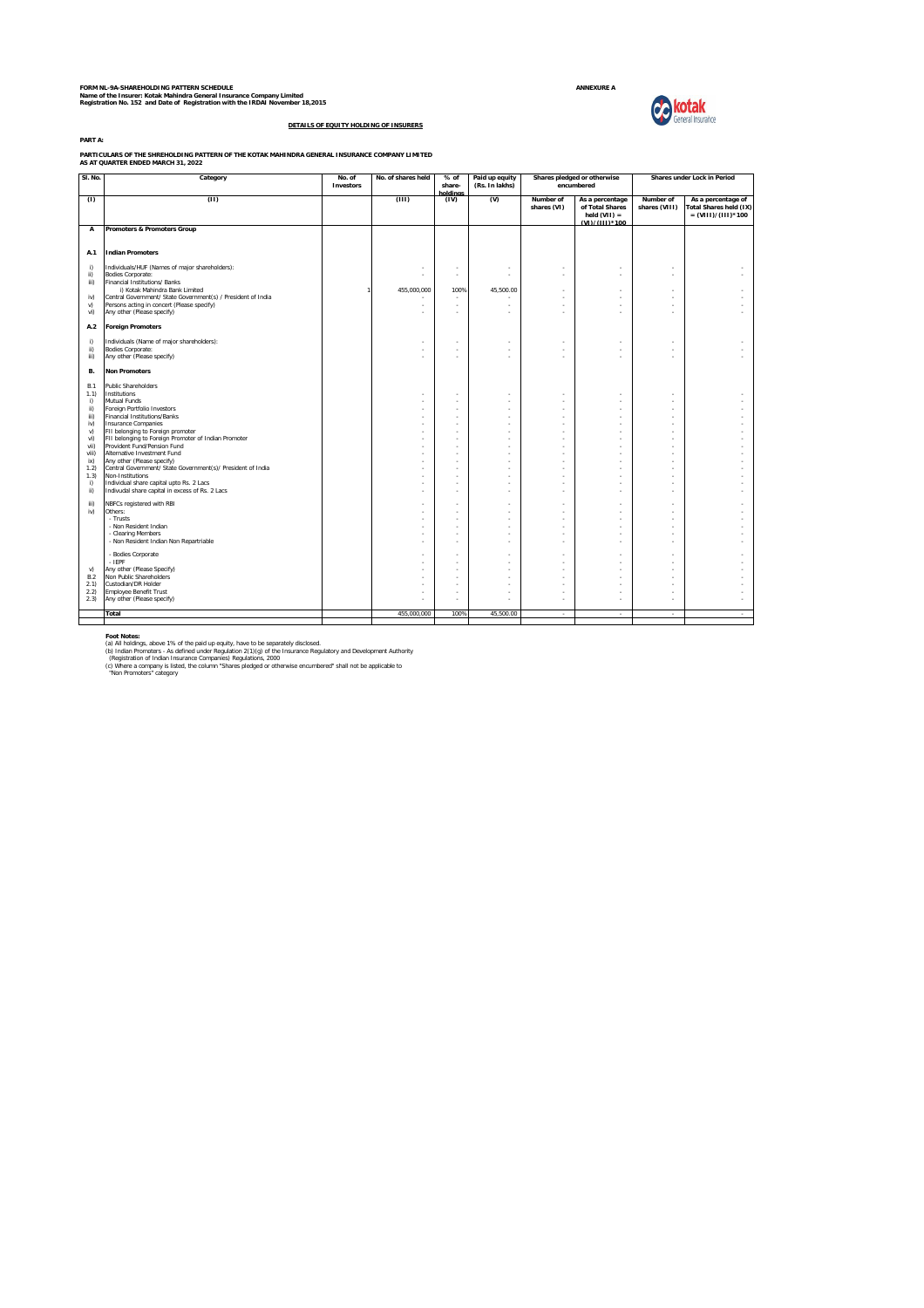FORM NL-9A-SHAREHOLDING PATTERN SCHEDULE<br>Name of the Insurer: Kotak Mahindra General Insurance Company Limited<br>Registration No. 152 and Date of Registration with the IRDAI November 18,2015

**Collectak**<br>General Insurance



**DETAILS OF EQUITY HOLDING OF INSURERS**

**PARTICULARS OF THE SHREHOLDING PATTERN OF THE KOTAK MAHINDRA GENERAL INSURANCE COMPANY LIMITED AS AT QUARTER ENDED MARCH 31, 2022**

| SI. No.            | Category                                                                                             | No. of<br>Investors | No. of shares held | % of<br>share-<br>holdinas | Paid up equity<br>(Rs. In lakhs) |                          | Shares pledged or otherwise<br>encumbered                              | Shares under Lock in Period |                                                                      |
|--------------------|------------------------------------------------------------------------------------------------------|---------------------|--------------------|----------------------------|----------------------------------|--------------------------|------------------------------------------------------------------------|-----------------------------|----------------------------------------------------------------------|
| (1)                | (11)                                                                                                 |                     | (III)              | (IV)                       | $\omega$                         | Number of<br>shares (VI) | As a percentage<br>of Total Shares<br>held $(VII) =$<br>(VI)/(III)*100 | Number of<br>shares (VIII)  | As a percentage of<br>Total Shares held (IX)<br>$= (VIII)/(III)*100$ |
| А                  | Promoters & Promoters Group                                                                          |                     |                    |                            |                                  |                          |                                                                        |                             |                                                                      |
| A.1                | <b>Indian Promoters</b>                                                                              |                     |                    |                            |                                  |                          |                                                                        |                             |                                                                      |
| i)<br>ii)<br>iii)  | Individuals/HUF (Names of major shareholders):<br>Bodies Corporate:<br>Financial Institutions/ Banks |                     |                    |                            | ×                                | ×,                       |                                                                        | ٠                           |                                                                      |
| iv)                | i) Kotak Mahindra Bank Limited<br>Central Government/ State Government(s) / President of India       |                     | 455.000.000        | 100%                       | 45.500.00                        | ÷                        | ÷                                                                      | ÷                           | ٠                                                                    |
| V)                 | Persons acting in concert (Please specify)                                                           |                     |                    |                            |                                  | ÷.                       |                                                                        |                             |                                                                      |
| vi)                | Any other (Please specify)                                                                           |                     |                    | ٠                          |                                  | ÷.                       | ÷                                                                      |                             |                                                                      |
| A.2                | <b>Foreign Promoters</b>                                                                             |                     |                    |                            |                                  |                          |                                                                        |                             |                                                                      |
| i)                 | Individuals (Name of major shareholders):                                                            |                     |                    |                            |                                  |                          |                                                                        |                             | ٠                                                                    |
| ii)<br>iii)        | <b>Bodies Corporate:</b><br>Any other (Please specify)                                               |                     |                    |                            |                                  | ä,                       |                                                                        | ÷                           |                                                                      |
|                    |                                                                                                      |                     |                    |                            |                                  |                          |                                                                        |                             |                                                                      |
| В.                 | <b>Non Promoters</b>                                                                                 |                     |                    |                            |                                  |                          |                                                                        |                             |                                                                      |
| <b>B.1</b><br>1.1) | <b>Public Shareholders</b><br>Institutions                                                           |                     |                    |                            | ×                                | ×,                       | ×,                                                                     | ٠                           | ٠                                                                    |
| i)                 | Mutual Funds                                                                                         |                     |                    |                            | ×                                | ä,                       |                                                                        | ÷.                          |                                                                      |
| ii)                | Foreign Portfolio Investors                                                                          |                     |                    |                            |                                  |                          |                                                                        |                             | $\sim$                                                               |
| iii)<br>iv)        | Financial Institutions/Banks<br><b>Insurance Companies</b>                                           |                     |                    |                            | ×,                               | ä,<br>ł,                 |                                                                        |                             |                                                                      |
| v)                 | FII belonging to Foreign promoter                                                                    |                     | ×                  | ÷.                         | ×                                | ٠                        | ÷                                                                      | ÷.                          |                                                                      |
| vi)<br>vii)        | FII belonging to Foreign Promoter of Indian Promoter<br>Provident Fund/Pension Fund                  |                     |                    |                            | ÷.<br>÷.                         | ÷<br>÷.                  | ÷                                                                      |                             | ÷.<br>$\sim$                                                         |
| viii)              | Alternative Investment Fund                                                                          |                     |                    |                            | ×.                               | ÷.                       |                                                                        |                             | ÷.                                                                   |
| ix)                | Any other (Please specify)                                                                           |                     | ×.                 | ×.                         | ×.                               | ÷                        | ÷                                                                      | $\sim$                      | $\sim$                                                               |
| 1.2)<br>1.3)       | Central Government/ State Government(s)/ President of India<br>Non-Institutions                      |                     |                    |                            |                                  | ÷                        |                                                                        |                             | $\sim$                                                               |
| i)                 | Individual share capital upto Rs. 2 Lacs                                                             |                     |                    |                            | ×                                | ×,                       |                                                                        | ÷.                          |                                                                      |
| ii)                | Indivudal share capital in excess of Rs. 2 Lacs                                                      |                     |                    |                            | ×,                               | J.                       |                                                                        |                             | $\sim$                                                               |
| iii)               | NBFCs registered with RBI                                                                            |                     |                    | ÷.                         | ÷.                               | ÷                        | ÷                                                                      | ÷.                          |                                                                      |
| iv)                | Others:<br>- Trusts                                                                                  |                     |                    | ٠                          | ÷.<br>×.                         | ÷<br>÷                   | ÷                                                                      | ÷                           | ÷                                                                    |
|                    | - Non Resident Indian                                                                                |                     |                    |                            | ÷.                               | ÷                        | ÷                                                                      |                             |                                                                      |
|                    | - Clearing Members                                                                                   |                     | ×                  | ×.                         | ×                                | ä,<br>J.                 | ×,                                                                     |                             | $\sim$                                                               |
|                    | - Non Resident Indian Non Repartriable                                                               |                     |                    |                            |                                  |                          |                                                                        |                             |                                                                      |
|                    | - Bodies Corporate<br>$-$ IEPF                                                                       |                     |                    |                            |                                  |                          |                                                                        |                             |                                                                      |
| v)                 | Any other (Please Specify)                                                                           |                     |                    |                            |                                  | ×,                       |                                                                        |                             |                                                                      |
| <b>B.2</b>         | Non Public Shareholders                                                                              |                     | ×.                 | ÷.                         | ÷.                               | ×,                       | ÷                                                                      | ÷                           |                                                                      |
| 2.1)<br>2.2)       | Custodian/DR Holder<br><b>Employee Benefit Trust</b>                                                 |                     |                    |                            |                                  | ÷.                       | ÷                                                                      |                             |                                                                      |
| 2.3)               | Any other (Please specify)                                                                           |                     |                    |                            |                                  | ÷.                       |                                                                        |                             | $\sim$                                                               |
|                    | Total                                                                                                |                     | 455.000.000        | 100%                       | 45.500.00                        | $\epsilon$               | $\epsilon$                                                             | $\sim$                      | $\epsilon$                                                           |
|                    |                                                                                                      |                     |                    |                            |                                  |                          |                                                                        |                             |                                                                      |

**Foot Notes:**<br>(a) All holdings, above 1% of the paid up equity, have to be separately disclosed.<br>(b) Indian Promoters - As defined under Regulation 2(1)(g) of the insurance Regulatory and Development Authority<br>(Registratio